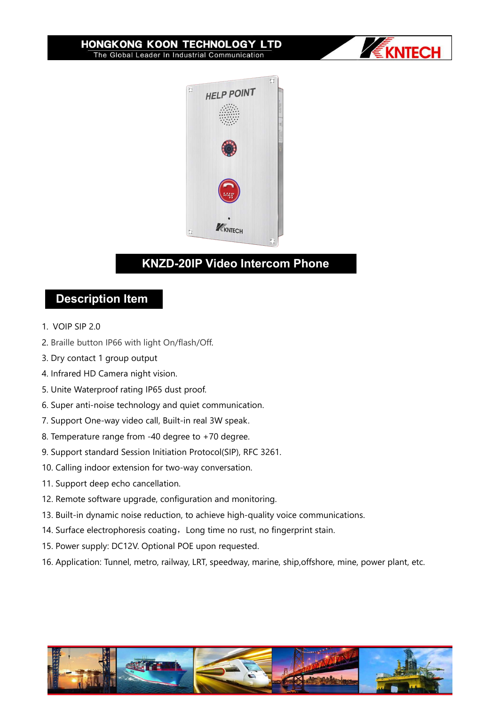**HONGKONG KOON TECHNOLOGY LTD** The Global Leader In Industrial Communication





- 
- **1. VOIP SIP 2.0<br>
2. Braille button IP66 with light On/flash/**
- 
- 
- 
- **Example 10. In the Mathematics of the Mathematics of the Mathematics of the Mathematics of the Mathematics of the Mathematics of the Mathematics of the Mathematics of the Mathematics of the Mathematics of the Mathematics Solution State Proof. In the Material Proof.**<br>
1. VOIP SIP 2.0<br>
2. Braille button IP66 with light On/flash/Off.<br>
3. Dry contact 1 group output<br>
4. Infrared HD Camera night vision.<br>
5. Unite Waterproof rating IP65 dust pro **Description Item**<br>
1. VOIP SIP 2.0<br>
2. Braille button IP66 with light On/flash/Off.<br>
3. Dry contact 1 group output<br>
4. Infrared HD Camera night vision.<br>
5. Unite Waterproof rating IP65 dust proof.<br>
6. Super anti-noise tec 1. Dry contact 1 group output<br>
1. Infrared HD Camera night vision.<br>
5. Unite Waterproof rating IP65 dust proof.<br>
6. Super anti-noise technology and quiet communica<br>
7. Support One-way video call, Built-in real 3W speak<br>
1.
- 
- 
- **Description Item**<br>1. VOIP SIP 2.0<br>2. Braille button IP66 with light On/flash/Off.<br>3. Dry contact 1 group output<br>4. Infrared HD Camera night vision.<br>5. Unite Waterproof rating IP65 dust proof.<br>6. Super anti-noise technolog 1. VOIP SIP 2.0<br>
2. Braille button IP66 with light On/flash/Off.<br>
3. Dry contact 1 group output<br>
4. Infrared HD Camera night vision.<br>
5. Unite Waterproof rating IP65 dust proof.<br>
6. Super anti-noise technology and quiet co 1. VOIP SIP 2.0<br>2. Braille button IP66 with light On/flash/Off.<br>3. Dry contact 1 group output<br>4. Infrared HD Camera night vision.<br>5. Unite Waterproof rating IP65 dust proof.<br>6. Super anti-noise technology and quiet communi 2. Braille button IP66 with light On/flash/Off.<br>1. Dry contact 1 group output<br>1. Infrared HD Camera night vision.<br>1. Unite Waterproof rating IP65 dust proof.<br>1. Support One-way video call, Built-in real 3W speak.<br>1. Suppor
- 
- 
- 
- 4. Infrared HD Camera night vision.<br>5. Unite Waterproof rating IP65 dust proof.<br>6. Super anti-noise technology and quiet communication.<br>7. Support One-way video call, Built-in real 3W speak.<br>8. Temperature range from -40 d 5. Unite Waterproof rating IP65 dust proof.<br>6. Super anti-noise technology and quiet communication.<br>7. Support One-way video call, Built-in real 3W speak.<br>8. Temperature range from -40 degree to +70 degree.<br>9. Support stan 7. Support One-way video call, Built-in real 3W speak.<br>
8. Temperature range from -40 degree to +70 degree.<br>
9. Support standard Session Initiation Protocol(SIP), RFC 3261.<br>
10. Calling indoor extension for two-way convers
- 
- 
- 6. Super anti-noise technology and quiet communication.<br>7. Support One-way video call, Built-in real 3W speak.<br>8. Temperature range from -40 degree to +70 degree.<br>9. Support standard Session Initiation Protocol(SIP), RFC 3 8. Temperature range from -40 degree to +70 degree.<br>9. Support standard Session Initiation Protocol(SIP), RFC 3261.<br>10. Calling indoor extension for two-way conversation.<br>11. Support deep echo cancellation.<br>12. Remote soft

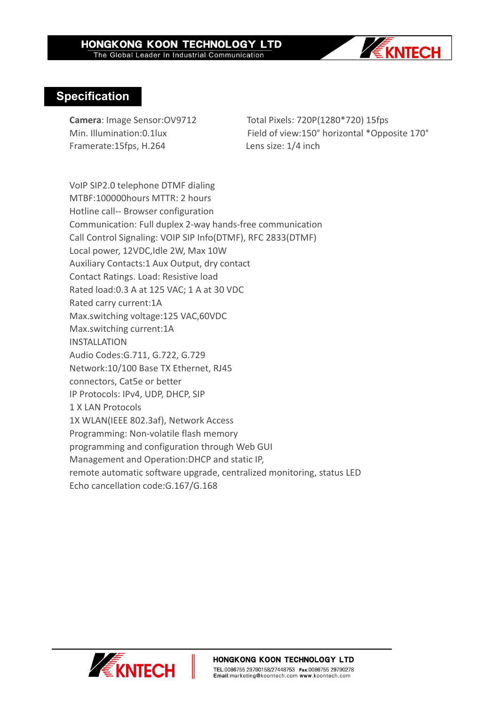

## **Specification**

Framerate:15fps, H.264 Lens size: 1/4 inch

**Camera**: Image Sensor:OV9712 Total Pixels: 720P(1280\*720) 15fps Min. Illumination:0.1lux Field of view:150° horizontal \*Opposite 170°

VoIP SIP2.0 telephone DTMF dialing MTBF:100000hours MTTR: 2 hours Hotline call-- Browser configuration Communication: Full duplex 2-way hands-free communication Call Control Signaling: VOIP SIP Info(DTMF), RFC 2833(DTMF) Local power, 12VDC,Idle 2W, Max 10W Auxiliary Contacts:1 Aux Output, dry contact Contact Ratings. Load: Resistive load Rated load:0.3 A at 125 VAC; 1 A at 30 VDC Rated carry current:1A Max.switching voltage:125 VAC,60VDC Max.switching current:1A INSTALLATION Audio Codes:G.711, G.722, G.729 Network:10/100 Base TX Ethernet, RJ45 connectors, Cat5e or better IP Protocols: IPv4, UDP, DHCP, SIP 1 X LAN Protocols 1X WLAN(IEEE 802.3af), Network Access Programming: Non-volatile flash memory programming and configuration through Web GUI Management and Operation:DHCP and static IP, remote automatic software upgrade, centralized monitoring, status LED Echo cancellation code:G.167/G.168

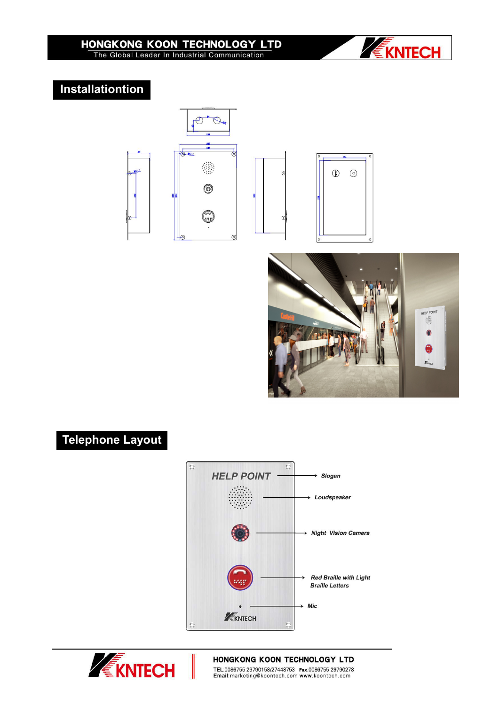

## **Installationtion**







### HONGKONG KOON TECHNOLOGY LTD